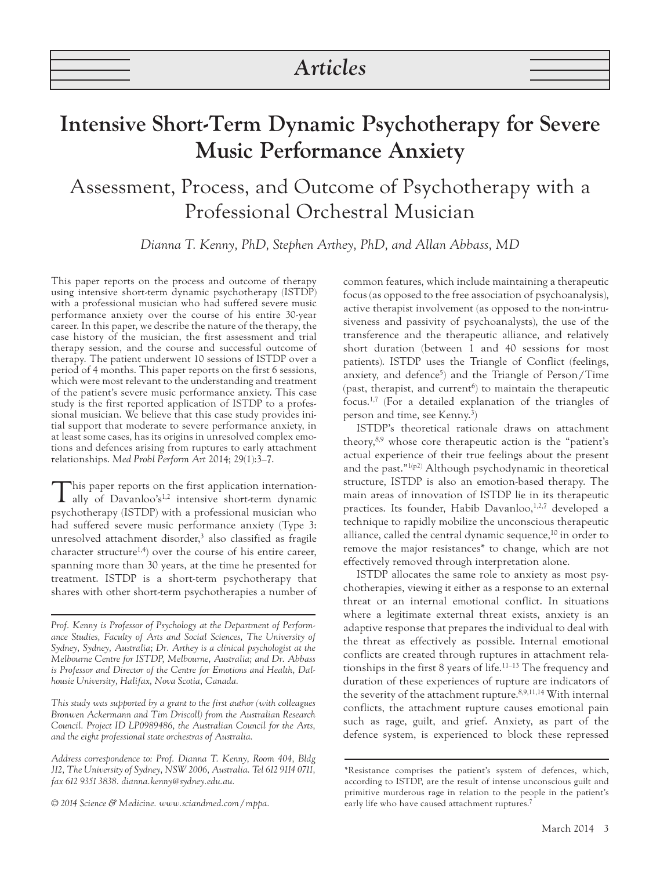## *Articles*

# **Intensive Short-Term Dynamic Psychotherapy for Severe Music Performance Anxiety**

Assessment, Process, and Outcome of Psychotherapy with a Professional Orchestral Musician

*Dianna T. Kenny, PhD, Stephen Arthey, PhD, and Allan Abbass, MD* 

This paper reports on the process and outcome of therapy using intensive short-term dynamic psychotherapy (ISTDP) with a professional musician who had suffered severe music performance anxiety over the course of his entire 30-year career. In this paper, we describe the nature of the therapy, the case history of the musician, the first assessment and trial therapy session, and the course and successful outcome of therapy. The patient underwent 10 sessions of ISTDP over a period of 4 months. This paper reports on the first 6 sessions, which were most relevant to the understanding and treatment of the patient's severe music performance anxiety. This case study is the first reported application of ISTDP to a professional musician. We believe that this case study provides initial support that moderate to severe performance anxiety, in at least some cases, has its origins in unresolved complex emotions and defences arising from ruptures to early attachment relationships. *Med Probl Perform Art* 2014; 29(1):3–7.

This paper reports on the first application internation-<br>ally of Davanloo's<sup>1,2</sup> intensive short-term dynamic psychotherapy (ISTDP) with a professional musician who had suffered severe music performance anxiety (Type 3: unresolved attachment disorder,<sup>3</sup> also classified as fragile character structure<sup>1,4</sup>) over the course of his entire career, spanning more than 30 years, at the time he presented for treatment. ISTDP is a short-term psychotherapy that shares with other short-term psychotherapies a number of common features, which include maintaining a therapeutic focus (as opposed to the free association of psychoanalysis), active therapist involvement (as opposed to the non-intrusiveness and passivity of psychoanalysts), the use of the transference and the therapeutic alliance, and relatively short duration (between 1 and 40 sessions for most patients). ISTDP uses the Triangle of Conflict (feelings, anxiety, and defence<sup>5</sup>) and the Triangle of Person/Time (past, therapist, and current $\epsilon$ ) to maintain the therapeutic focus.1,7 (For a detailed explanation of the triangles of person and time, see Kenny.3 )

ISTDP's theoretical rationale draws on attachment theory, $89$  whose core therapeutic action is the "patient's actual experience of their true feelings about the present and the past."1(p2) Although psychodynamic in theoretical structure, ISTDP is also an emotion-based therapy. The main areas of innovation of ISTDP lie in its therapeutic practices. Its founder, Habib Davanloo,<sup>1,2,7</sup> developed a technique to rapidly mobilize the unconscious therapeutic alliance, called the central dynamic sequence,<sup>10</sup> in order to remove the major resistances\* to change, which are not effectively removed through interpretation alone.

ISTDP allocates the same role to anxiety as most psychotherapies, viewing it either as a response to an external threat or an internal emotional conflict. In situations where a legitimate external threat exists, anxiety is an adaptive response that prepares the individual to deal with the threat as effectively as possible. Internal emotional conflicts are created through ruptures in attachment relationships in the first 8 years of life.<sup>11-13</sup> The frequency and duration of these experiences of rupture are indicators of the severity of the attachment rupture.<sup>8,9,11,14</sup> With internal conflicts, the attachment rupture causes emotional pain such as rage, guilt, and grief. Anxiety, as part of the defence system, is experienced to block these repressed

*Prof. Kenny is Professor of Psychology at the Department of Performance Studies, Faculty of Arts and Social Sciences, The University of Sydney, Sydney, Australia; Dr. Arthey is a clinical psychologist at the Melbourne Centre for ISTDP, Melbourne, Australia; and Dr. Abbass is Professor and Director of the Centre for Emotions and Health, Dalhousie University, Halifax, Nova Scotia, Canada.*

*This study was supported by a grant to the first author (with colleagues Bronwen Ackermann and Tim Driscoll) from the Australian Research Council. Project ID LP0989486, the Australian Council for the Arts, and the eight professional state orchestras of Australia.*

*Address correspondence to: Prof. Dianna T. Kenny, Room 404, Bldg J12, The University of Sydney, NSW 2006, Australia. Tel 612 9114 0711, fax 612 9351 3838. dianna.kenny@sydney.edu.au.* 

*<sup>© 2014</sup> Science & Medicine. www.sciandmed.com/mppa.*

<sup>\*</sup>Resistance comprises the patient's system of defences, which, according to ISTDP, are the result of intense unconscious guilt and primitive murderous rage in relation to the people in the patient's early life who have caused attachment ruptures.<sup>7</sup>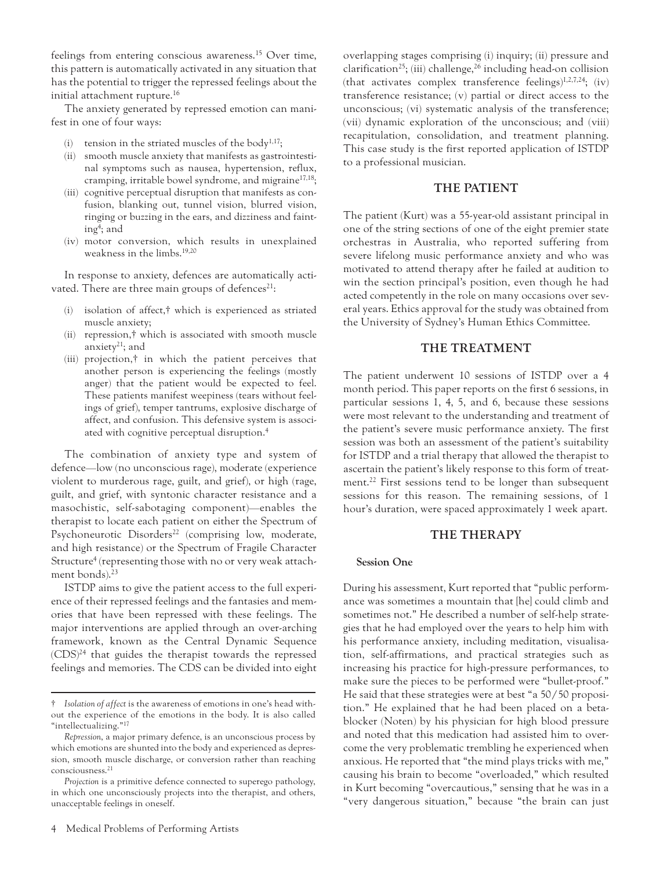feelings from entering conscious awareness.15 Over time, this pattern is automatically activated in any situation that has the potential to trigger the repressed feelings about the initial attachment rupture.<sup>16</sup>

The anxiety generated by repressed emotion can manifest in one of four ways:

- (i) tension in the striated muscles of the body<sup>1,17</sup>;
- (ii) smooth muscle anxiety that manifests as gastrointestinal symptoms such as nausea, hypertension, reflux, cramping, irritable bowel syndrome, and migraine<sup>17,18</sup>;
- (iii) cognitive perceptual disruption that manifests as confusion, blanking out, tunnel vision, blurred vision, ringing or buzzing in the ears, and dizziness and fainting4 ; and
- (iv) motor conversion, which results in unexplained weakness in the limbs.19,20

In response to anxiety, defences are automatically activated. There are three main groups of defences<sup>21</sup>:

- isolation of affect,<sup>†</sup> which is experienced as striated muscle anxiety;
- (ii) repression,† which is associated with smooth muscle anxiety $21$ ; and
- (iii) projection,† in which the patient perceives that another person is experiencing the feelings (mostly anger) that the patient would be expected to feel. These patients manifest weepiness (tears without feelings of grief), temper tantrums, explosive discharge of affect, and confusion. This defensive system is associated with cognitive perceptual disruption.4

The combination of anxiety type and system of defence—low (no unconscious rage), moderate (experience violent to murderous rage, guilt, and grief), or high (rage, guilt, and grief, with syntonic character resistance and a masochistic, self-sabotaging component)—enables the therapist to locate each patient on either the Spectrum of Psychoneurotic Disorders<sup>22</sup> (comprising low, moderate, and high resistance) or the Spectrum of Fragile Character Structure<sup>4</sup> (representing those with no or very weak attachment bonds).<sup>23</sup>

ISTDP aims to give the patient access to the full experience of their repressed feelings and the fantasies and memories that have been repressed with these feelings. The major interventions are applied through an over-arching framework, known as the Central Dynamic Sequence (CDS)24 that guides the therapist towards the repressed feelings and memories. The CDS can be divided into eight

overlapping stages comprising (i) inquiry; (ii) pressure and clarification<sup>25</sup>; (iii) challenge,<sup>26</sup> including head-on collision (that activates complex transference feelings)1,2,7,24; (iv) transference resistance; (v) partial or direct access to the unconscious; (vi) systematic analysis of the transference; (vii) dynamic exploration of the unconscious; and (viii) recapitulation, consolidation, and treatment planning. This case study is the first reported application of ISTDP to a professional musician.

#### **THE PATIENT**

The patient (Kurt) was a 55-year-old assistant principal in one of the string sections of one of the eight premier state orchestras in Australia, who reported suffering from severe lifelong music performance anxiety and who was motivated to attend therapy after he failed at audition to win the section principal's position, even though he had acted competently in the role on many occasions over several years. Ethics approval for the study was obtained from the University of Sydney's Human Ethics Committee.

#### **THE TREATMENT**

The patient underwent 10 sessions of ISTDP over a 4 month period. This paper reports on the first 6 sessions, in particular sessions 1, 4, 5, and 6, because these sessions were most relevant to the understanding and treatment of the patient's severe music performance anxiety. The first session was both an assessment of the patient's suitability for ISTDP and a trial therapy that allowed the therapist to ascertain the patient's likely response to this form of treatment.<sup>22</sup> First sessions tend to be longer than subsequent sessions for this reason. The remaining sessions, of 1 hour's duration, were spaced approximately 1 week apart.

## **THE THERAPY**

#### **Session One**

During his assessment, Kurt reported that "public performance was sometimes a mountain that [he] could climb and sometimes not." He described a number of self-help strategies that he had employed over the years to help him with his performance anxiety, including meditation, visualisation, self-affirmations, and practical strategies such as increasing his practice for high-pressure performances, to make sure the pieces to be performed were "bullet-proof." He said that these strategies were at best "a 50/50 proposition." He explained that he had been placed on a betablocker (Noten) by his physician for high blood pressure and noted that this medication had assisted him to overcome the very problematic trembling he experienced when anxious. He reported that "the mind plays tricks with me," causing his brain to become "overloaded," which resulted in Kurt becoming "overcautious," sensing that he was in a "very dangerous situation," because "the brain can just

<sup>†</sup> *Isolation of affect* is the awareness of emotions in one's head without the experience of the emotions in the body. It is also called "intellectualizing."17

*Repression*, a major primary defence, is an unconscious process by which emotions are shunted into the body and experienced as depression, smooth muscle discharge, or conversion rather than reaching consciousness.21

*Projection* is a primitive defence connected to superego pathology, in which one unconsciously projects into the therapist, and others, unacceptable feelings in oneself.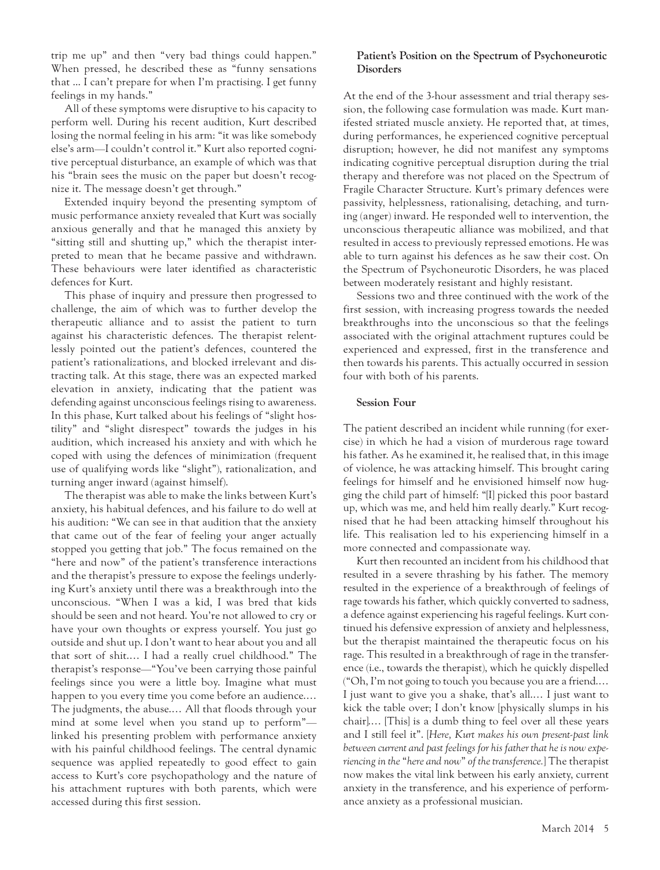trip me up" and then "very bad things could happen." When pressed, he described these as "funny sensations that ... I can't prepare for when I'm practising. I get funny feelings in my hands."

All of these symptoms were disruptive to his capacity to perform well. During his recent audition, Kurt described losing the normal feeling in his arm: "it was like somebody else's arm—I couldn't control it." Kurt also reported cognitive perceptual disturbance, an example of which was that his "brain sees the music on the paper but doesn't recognize it. The message doesn't get through."

Extended inquiry beyond the presenting symptom of music performance anxiety revealed that Kurt was socially anxious generally and that he managed this anxiety by "sitting still and shutting up," which the therapist interpreted to mean that he became passive and withdrawn. These behaviours were later identified as characteristic defences for Kurt.

This phase of inquiry and pressure then progressed to challenge, the aim of which was to further develop the therapeutic alliance and to assist the patient to turn against his characteristic defences. The therapist relentlessly pointed out the patient's defences, countered the patient's rationalizations, and blocked irrelevant and distracting talk. At this stage, there was an expected marked elevation in anxiety, indicating that the patient was defending against unconscious feelings rising to awareness. In this phase, Kurt talked about his feelings of "slight hostility" and "slight disrespect" towards the judges in his audition, which increased his anxiety and with which he coped with using the defences of minimization (frequent use of qualifying words like "slight"), rationalization, and turning anger inward (against himself).

The therapist was able to make the links between Kurt's anxiety, his habitual defences, and his failure to do well at his audition: "We can see in that audition that the anxiety that came out of the fear of feeling your anger actually stopped you getting that job." The focus remained on the "here and now" of the patient's transference interactions and the therapist's pressure to expose the feelings underlying Kurt's anxiety until there was a breakthrough into the unconscious. "When I was a kid, I was bred that kids should be seen and not heard. You're not allowed to cry or have your own thoughts or express yourself. You just go outside and shut up. I don't want to hear about you and all that sort of shit.… I had a really cruel childhood." The therapist's response—"You've been carrying those painful feelings since you were a little boy. Imagine what must happen to you every time you come before an audience.… The judgments, the abuse.… All that floods through your mind at some level when you stand up to perform" linked his presenting problem with performance anxiety with his painful childhood feelings. The central dynamic sequence was applied repeatedly to good effect to gain access to Kurt's core psychopathology and the nature of his attachment ruptures with both parents, which were accessed during this first session.

## **Patient's Position on the Spectrum of Psychoneurotic Disorders**

At the end of the 3-hour assessment and trial therapy session, the following case formulation was made. Kurt manifested striated muscle anxiety. He reported that, at times, during performances, he experienced cognitive perceptual disruption; however, he did not manifest any symptoms indicating cognitive perceptual disruption during the trial therapy and therefore was not placed on the Spectrum of Fragile Character Structure. Kurt's primary defences were passivity, helplessness, rationalising, detaching, and turning (anger) inward. He responded well to intervention, the unconscious therapeutic alliance was mobilized, and that resulted in access to previously repressed emotions. He was able to turn against his defences as he saw their cost. On the Spectrum of Psychoneurotic Disorders, he was placed between moderately resistant and highly resistant.

Sessions two and three continued with the work of the first session, with increasing progress towards the needed breakthroughs into the unconscious so that the feelings associated with the original attachment ruptures could be experienced and expressed, first in the transference and then towards his parents. This actually occurred in session four with both of his parents.

## **Session Four**

The patient described an incident while running (for exercise) in which he had a vision of murderous rage toward his father. As he examined it, he realised that, in this image of violence, he was attacking himself. This brought caring feelings for himself and he envisioned himself now hugging the child part of himself: "[I] picked this poor bastard up, which was me, and held him really dearly." Kurt recognised that he had been attacking himself throughout his life. This realisation led to his experiencing himself in a more connected and compassionate way.

Kurt then recounted an incident from his childhood that resulted in a severe thrashing by his father. The memory resulted in the experience of a breakthrough of feelings of rage towards his father, which quickly converted to sadness, a defence against experiencing his rageful feelings. Kurt continued his defensive expression of anxiety and helplessness, but the therapist maintained the therapeutic focus on his rage. This resulted in a breakthrough of rage in the transference (i.e., towards the therapist), which he quickly dispelled ("Oh, I'm not going to touch you because you are a friend.… I just want to give you a shake, that's all.… I just want to kick the table over; I don't know [physically slumps in his chair].… [This] is a dumb thing to feel over all these years and I still feel it". [*Here, Kurt makes his own present-past link between current and past feelings for his father that he is now experiencing in the "here and now" of the transference.*] The therapist now makes the vital link between his early anxiety, current anxiety in the transference, and his experience of performance anxiety as a professional musician.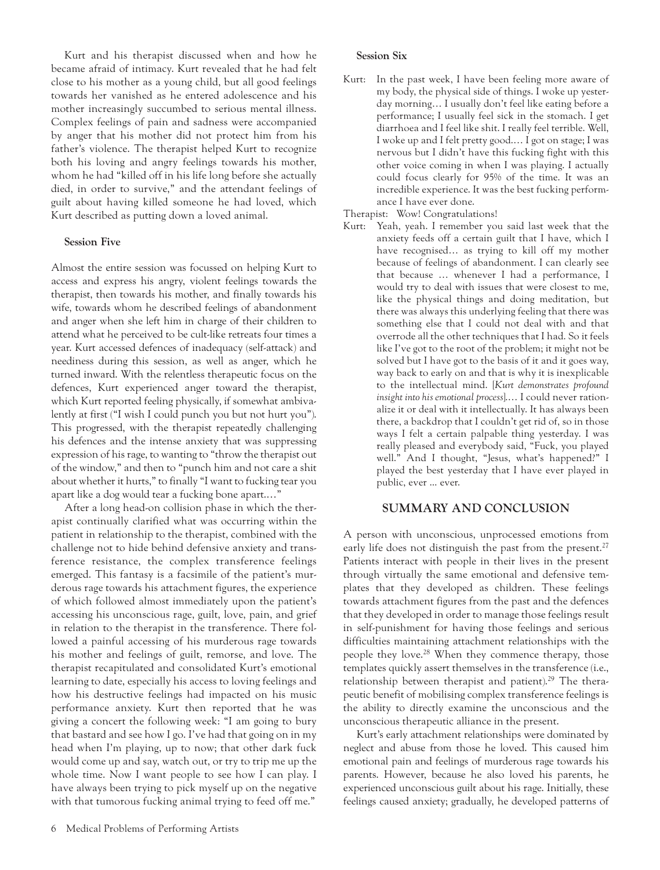Kurt and his therapist discussed when and how he became afraid of intimacy. Kurt revealed that he had felt close to his mother as a young child, but all good feelings towards her vanished as he entered adolescence and his mother increasingly succumbed to serious mental illness. Complex feelings of pain and sadness were accompanied by anger that his mother did not protect him from his father's violence. The therapist helped Kurt to recognize both his loving and angry feelings towards his mother, whom he had "killed off in his life long before she actually died, in order to survive," and the attendant feelings of guilt about having killed someone he had loved, which Kurt described as putting down a loved animal.

## **Session Five**

Almost the entire session was focussed on helping Kurt to access and express his angry, violent feelings towards the therapist, then towards his mother, and finally towards his wife, towards whom he described feelings of abandonment and anger when she left him in charge of their children to attend what he perceived to be cult-like retreats four times a year. Kurt accessed defences of inadequacy (self-attack) and neediness during this session, as well as anger, which he turned inward. With the relentless therapeutic focus on the defences, Kurt experienced anger toward the therapist, which Kurt reported feeling physically, if somewhat ambivalently at first ("I wish I could punch you but not hurt you"). This progressed, with the therapist repeatedly challenging his defences and the intense anxiety that was suppressing expression of his rage, to wanting to "throw the therapist out of the window," and then to "punch him and not care a shit about whether it hurts," to finally "I want to fucking tear you apart like a dog would tear a fucking bone apart.…"

After a long head-on collision phase in which the therapist continually clarified what was occurring within the patient in relationship to the therapist, combined with the challenge not to hide behind defensive anxiety and transference resistance, the complex transference feelings emerged. This fantasy is a facsimile of the patient's murderous rage towards his attachment figures, the experience of which followed almost immediately upon the patient's accessing his unconscious rage, guilt, love, pain, and grief in relation to the therapist in the transference. There followed a painful accessing of his murderous rage towards his mother and feelings of guilt, remorse, and love. The therapist recapitulated and consolidated Kurt's emotional learning to date, especially his access to loving feelings and how his destructive feelings had impacted on his music performance anxiety. Kurt then reported that he was giving a concert the following week: "I am going to bury that bastard and see how I go. I've had that going on in my head when I'm playing, up to now; that other dark fuck would come up and say, watch out, or try to trip me up the whole time. Now I want people to see how I can play. I have always been trying to pick myself up on the negative with that tumorous fucking animal trying to feed off me."

#### **Session Six**

- Kurt: In the past week, I have been feeling more aware of my body, the physical side of things. I woke up yesterday morning… I usually don't feel like eating before a performance; I usually feel sick in the stomach. I get diarrhoea and I feel like shit. I really feel terrible. Well, I woke up and I felt pretty good.… I got on stage; I was nervous but I didn't have this fucking fight with this other voice coming in when I was playing. I actually could focus clearly for 95% of the time. It was an incredible experience. It was the best fucking performance I have ever done.
- Therapist: Wow! Congratulations!
- Kurt: Yeah, yeah. I remember you said last week that the anxiety feeds off a certain guilt that I have, which I have recognised… as trying to kill off my mother because of feelings of abandonment. I can clearly see that because … whenever I had a performance, I would try to deal with issues that were closest to me, like the physical things and doing meditation, but there was always this underlying feeling that there was something else that I could not deal with and that overrode all the other techniques that I had. So it feels like I've got to the root of the problem; it might not be solved but I have got to the basis of it and it goes way, way back to early on and that is why it is inexplicable to the intellectual mind. [*Kurt demonstrates profound insight into his emotional process*].… I could never rationalize it or deal with it intellectually. It has always been there, a backdrop that I couldn't get rid of, so in those ways I felt a certain palpable thing yesterday. I was really pleased and everybody said, "Fuck, you played well." And I thought, "Jesus, what's happened?" I played the best yesterday that I have ever played in public, ever ... ever.

## **SUMMARY AND CONCLUSION**

A person with unconscious, unprocessed emotions from early life does not distinguish the past from the present.<sup>27</sup> Patients interact with people in their lives in the present through virtually the same emotional and defensive templates that they developed as children. These feelings towards attachment figures from the past and the defences that they developed in order to manage those feelings result in self-punishment for having those feelings and serious difficulties maintaining attachment relationships with the people they love.<sup>28</sup> When they commence therapy, those templates quickly assert themselves in the transference (i.e., relationship between therapist and patient).<sup>29</sup> The therapeutic benefit of mobilising complex transference feelings is the ability to directly examine the unconscious and the unconscious therapeutic alliance in the present.

Kurt's early attachment relationships were dominated by neglect and abuse from those he loved. This caused him emotional pain and feelings of murderous rage towards his parents. However, because he also loved his parents, he experienced unconscious guilt about his rage. Initially, these feelings caused anxiety; gradually, he developed patterns of